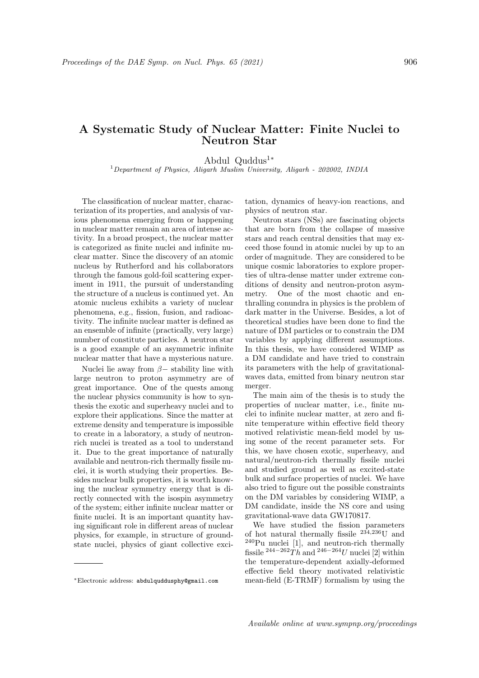## A Systematic Study of Nuclear Matter: Finite Nuclei to Neutron Star

Abdul Quddus<sup>1</sup><sup>∗</sup>

<sup>1</sup>Department of Physics, Aligarh Muslim University, Aligarh - 202002, INDIA

The classification of nuclear matter, characterization of its properties, and analysis of various phenomena emerging from or happening in nuclear matter remain an area of intense activity. In a broad prospect, the nuclear matter is categorized as finite nuclei and infinite nuclear matter. Since the discovery of an atomic nucleus by Rutherford and his collaborators through the famous gold-foil scattering experiment in 1911, the pursuit of understanding the structure of a nucleus is continued yet. An atomic nucleus exhibits a variety of nuclear phenomena, e.g., fission, fusion, and radioactivity. The infinite nuclear matter is defined as an ensemble of infinite (practically, very large) number of constitute particles. A neutron star is a good example of an asymmetric infinite nuclear matter that have a mysterious nature.

Nuclei lie away from  $\beta$  - stability line with large neutron to proton asymmetry are of great importance. One of the quests among the nuclear physics community is how to synthesis the exotic and superheavy nuclei and to explore their applications. Since the matter at extreme density and temperature is impossible to create in a laboratory, a study of neutronrich nuclei is treated as a tool to understand it. Due to the great importance of naturally available and neutron-rich thermally fissile nuclei, it is worth studying their properties. Besides nuclear bulk properties, it is worth knowing the nuclear symmetry energy that is directly connected with the isospin asymmetry of the system; either infinite nuclear matter or finite nuclei. It is an important quantity having significant role in different areas of nuclear physics, for example, in structure of groundstate nuclei, physics of giant collective exci-

<sup>∗</sup>Electronic address: abdulquddusphy@gmail.com

tation, dynamics of heavy-ion reactions, and physics of neutron star.

Neutron stars (NSs) are fascinating objects that are born from the collapse of massive stars and reach central densities that may exceed those found in atomic nuclei by up to an order of magnitude. They are considered to be unique cosmic laboratories to explore properties of ultra-dense matter under extreme conditions of density and neutron-proton asymmetry. One of the most chaotic and enthralling conundra in physics is the problem of dark matter in the Universe. Besides, a lot of theoretical studies have been done to find the nature of DM particles or to constrain the DM variables by applying different assumptions. In this thesis, we have considered WIMP as a DM candidate and have tried to constrain its parameters with the help of gravitationalwaves data, emitted from binary neutron star merger.

The main aim of the thesis is to study the properties of nuclear matter, i.e., finite nuclei to infinite nuclear matter, at zero and finite temperature within effective field theory motived relativistic mean-field model by using some of the recent parameter sets. For this, we have chosen exotic, superheavy, and natural/neutron-rich thermally fissile nuclei and studied ground as well as excited-state bulk and surface properties of nuclei. We have also tried to figure out the possible constraints on the DM variables by considering WIMP, a DM candidate, inside the NS core and using gravitational-wave data GW170817.

We have studied the fission parameters of hot natural thermally fissile  $234,236$ U and  $240$ Pu nuclei [1], and neutron-rich thermally fissile  $^{244-262}Th$  and  $^{246-264}U$  nuclei [2] within the temperature-dependent axially-deformed effective field theory motivated relativistic mean-field (E-TRMF) formalism by using the